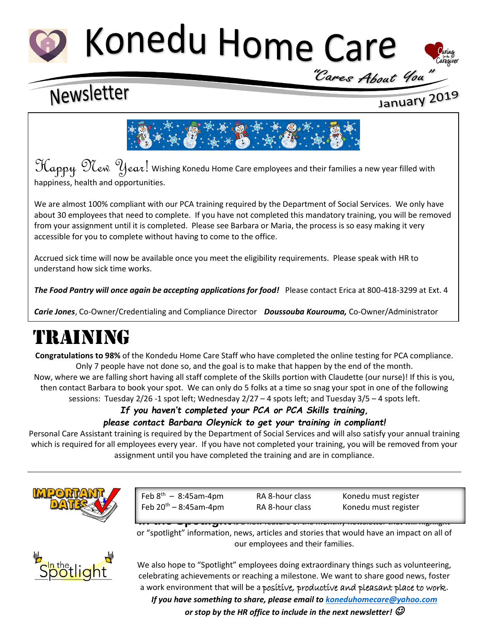# Konedu Home Care



## Newsletter

## January 2019



 $\mathfrak{Hom}_{p,q}$   $\mathfrak{Hom}_{p,q}$   $\mathfrak{Hom}_{p,q}$  wishing Konedu Home Care employees and their families a new year filled with happiness, health and opportunities.

We are almost 100% compliant with our PCA training required by the Department of Social Services. We only have about 30 employees that need to complete. If you have not completed this mandatory training, you will be removed from your assignment until it is completed. Please see Barbara or Maria, the process is so easy making it very accessible for you to complete without having to come to the office.

Accrued sick time will now be available once you meet the eligibility requirements. Please speak with HR to understand how sick time works.

*The Food Pantry will once again be accepting applications for food!* Please contact Erica at 800-418-3299 at Ext. 4

*Carie Jones*, Co-Owner/Credentialing and Compliance Director *Doussouba Kourouma,* Co-Owner/Administrator

## TRAINING

**Congratulations to 98%** of the Kondedu Home Care Staff who have completed the online testing for PCA compliance. Only 7 people have not done so, and the goal is to make that happen by the end of the month. Now, where we are falling short having all staff complete of the Skills portion with Claudette (our nurse)! If this is you, then contact Barbara to book your spot. We can only do 5 folks at a time so snag your spot in one of the following sessions: Tuesday 2/26 -1 spot left; Wednesday 2/27 – 4 spots left; and Tuesday 3/5 – 4 spots left.

## *If you haven't completed your PCA or PCA Skills training, please contact Barbara Oleynick to get your training in compliant!*

Personal Care Assistant training is required by the Department of Social Services and will also satisfy your annual training which is required for all employees every year. If you have not completed your training, you will be removed from your assignment until you have completed the training and are in compliance.



Feb  $8^{th} - 8:45$ am-4pm Feb 20<sup>th</sup> – 8:45am-4pm RA 8-hour class Konedu must register

RA 8-hour class Konedu must register

**In the Spotlight**is a new feature of the monthly newsletter that will highlight or "spotlight" information, news, articles and stories that would have an impact on all of our employees and their families.



We also hope to "Spotlight" employees doing extraordinary things such as volunteering, celebrating achievements or reaching a milestone. We want to share good news, foster a work environment that will be a positive, productive and pleasant place to work.

*If you have something to share, please email to [koneduhomecare@yahoo.com](mailto:koneduhomecare@yahoo.com)*

*or stop by the HR office to include in the next newsletter!*  $\mathcal O$